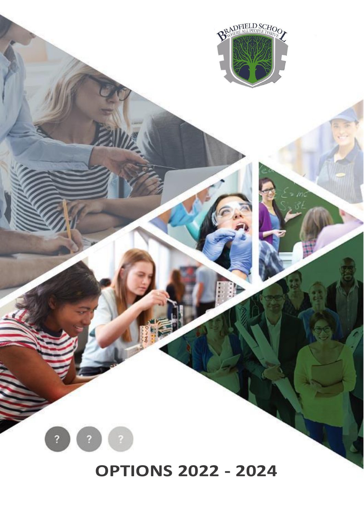# **OPTIONS 2022 - 2024**

**PRADFIELD SCHOOLS**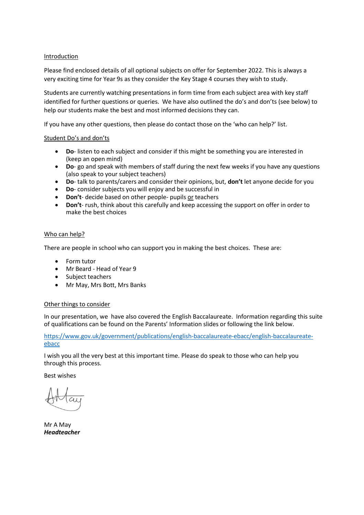### Introduction

Please find enclosed details of all optional subjects on offer for September 2022. This is always a very exciting time for Year 9s as they consider the Key Stage 4 courses they wish to study.

Students are currently watching presentations in form time from each subject area with key staff identified for further questions or queries. We have also outlined the do's and don'ts (see below) to help our students make the best and most informed decisions they can.

If you have any other questions, then please do contact those on the 'who can help?' list.

### Student Do's and don'ts

- **Do** listen to each subject and consider if this might be something you are interested in (keep an open mind)
- **Do** go and speak with members of staff during the next few weeks if you have any questions (also speak to your subject teachers)
- **Do** talk to parents/carers and consider their opinions, but, **don't** let anyone decide for you
- **Do** consider subjects you will enjoy and be successful in
- **Don't** decide based on other people- pupils or teachers
- **Don't** rush, think about this carefully and keep accessing the support on offer in order to make the best choices

### Who can help?

There are people in school who can support you in making the best choices. These are:

- Form tutor
- Mr Beard Head of Year 9
- Subject teachers
- Mr May, Mrs Bott, Mrs Banks

### Other things to consider

In our presentation, we have also covered the English Baccalaureate. Information regarding this suite of qualifications can be found on the Parents' Information slides or following the link below.

[https://www.gov.uk/government/publications/english-baccalaureate-ebacc/english-baccalaureate](https://www.gov.uk/government/publications/english-baccalaureate-ebacc/english-baccalaureate-ebacc)[ebacc](https://www.gov.uk/government/publications/english-baccalaureate-ebacc/english-baccalaureate-ebacc)

I wish you all the very best at this important time. Please do speak to those who can help you through this process.

Best wishes

Mr A May *Headteacher*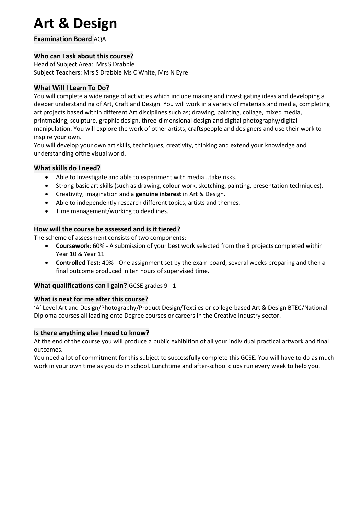# **Art & Design**

**Examination Board** AQA

# **Who can I ask about this course?**

Head of Subject Area: Mrs S Drabble Subject Teachers: Mrs S Drabble Ms C White, Mrs N Eyre

### **What Will I Learn To Do?**

You will complete a wide range of activities which include making and investigating ideas and developing a deeper understanding of Art, Craft and Design. You will work in a variety of materials and media, completing art projects based within different Art disciplines such as; drawing, painting, collage, mixed media, printmaking, sculpture, graphic design, three-dimensional design and digital photography/digital manipulation. You will explore the work of other artists, craftspeople and designers and use their work to inspire your own.

You will develop your own art skills, techniques, creativity, thinking and extend your knowledge and understanding ofthe visual world.

### **What skills do I need?**

- Able to Investigate and able to experiment with media...take risks.
- Strong basic art skills (such as drawing, colour work, sketching, painting, presentation techniques).
- Creativity, imagination and a **genuine interest** in Art & Design.
- Able to independently research different topics, artists and themes.
- Time management/working to deadlines.

### **How will the course be assessed and is it tiered?**

The scheme of assessment consists of two components:

- **Coursework**: 60% A submission of your best work selected from the 3 projects completed within Year 10 & Year 11
- **Controlled Test:** 40% One assignment set by the exam board, several weeks preparing and then a final outcome produced in ten hours of supervised time.

### **What qualifications can I gain?** GCSE grades 9 - 1

### **What is next for me after this course?**

'A' Level Art and Design/Photography/Product Design/Textiles or college-based Art & Design BTEC/National Diploma courses all leading onto Degree courses or careers in the Creative Industry sector.

### **Is there anything else I need to know?**

At the end of the course you will produce a public exhibition of all your individual practical artwork and final outcomes.

You need a lot of commitment for this subject to successfully complete this GCSE. You will have to do as much work in your own time as you do in school. Lunchtime and after-school clubs run every week to help you.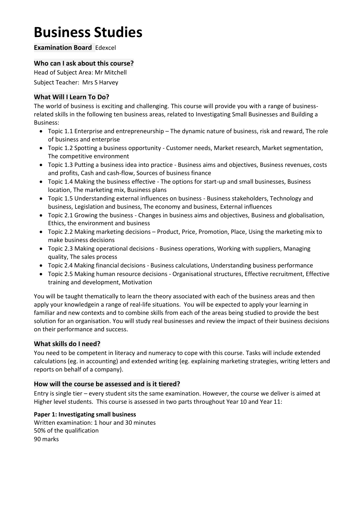# **Business Studies**

**Examination Board** Edexcel

# **Who can I ask about this course?**

Head of Subject Area: Mr Mitchell

Subject Teacher: Mrs S Harvey

# **What Will I Learn To Do?**

The world of business is exciting and challenging. This course will provide you with a range of businessrelated skills in the following ten business areas, related to Investigating Small Businesses and Building a Business:

- Topic 1.1 Enterprise and entrepreneurship The dynamic nature of business, risk and reward, The role of business and enterprise
- Topic 1.2 Spotting a business opportunity Customer needs, Market research, Market segmentation, The competitive environment
- Topic 1.3 Putting a business idea into practice Business aims and objectives, Business revenues, costs and profits, Cash and cash-flow, Sources of business finance
- Topic 1.4 Making the business effective The options for start-up and small businesses, Business location, The marketing mix, Business plans
- Topic 1.5 Understanding external influences on business Business stakeholders, Technology and business, Legislation and business, The economy and business, External influences
- Topic 2.1 Growing the business Changes in business aims and objectives, Business and globalisation, Ethics, the environment and business
- Topic 2.2 Making marketing decisions Product, Price, Promotion, Place, Using the marketing mix to make business decisions
- Topic 2.3 Making operational decisions Business operations, Working with suppliers, Managing quality, The sales process
- Topic 2.4 Making financial decisions Business calculations, Understanding business performance
- Topic 2.5 Making human resource decisions Organisational structures, Effective recruitment, Effective training and development, Motivation

You will be taught thematically to learn the theory associated with each of the business areas and then apply your knowledgein a range of real-life situations. You will be expected to apply your learning in familiar and new contexts and to combine skills from each of the areas being studied to provide the best solution for an organisation. You will study real businesses and review the impact of their business decisions on their performance and success.

# **What skills do I need?**

You need to be competent in literacy and numeracy to cope with this course. Tasks will include extended calculations (eg. in accounting) and extended writing (eg. explaining marketing strategies, writing letters and reports on behalf of a company).

# **How will the course be assessed and is it tiered?**

Entry is single tier – every student sits the same examination. However, the course we deliver is aimed at Higher level students. This course is assessed in two parts throughout Year 10 and Year 11:

# **Paper 1: Investigating small business**

Written examination: 1 hour and 30 minutes 50% of the qualification 90 marks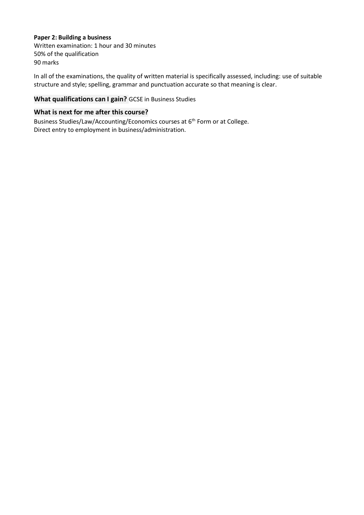### **Paper 2: Building a business**

Written examination: 1 hour and 30 minutes 50% of the qualification 90 marks

In all of the examinations, the quality of written material is specifically assessed, including: use of suitable structure and style; spelling, grammar and punctuation accurate so that meaning is clear.

# **What qualifications can I gain?** GCSE in Business Studies

### **What is next for me after this course?**

Business Studies/Law/Accounting/Economics courses at 6<sup>th</sup> Form or at College. Direct entry to employment in business/administration.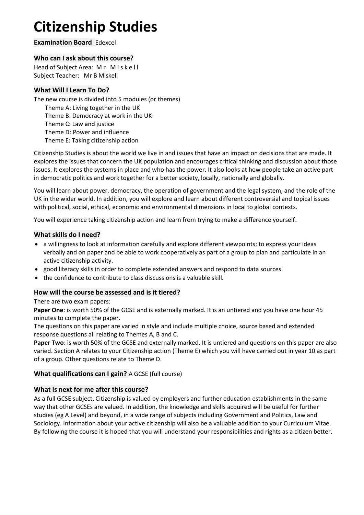# **Citizenship Studies**

### **Examination Board** Edexcel

### **Who can I ask about this course?**

Head of Subject Area: M r M i s k e l l Subject Teacher: Mr B Miskell

### **What Will I Learn To Do?**

The new course is divided into 5 modules (or themes)

Theme A: Living together in the UK

- Theme B: Democracy at work in the UK
- Theme C: Law and justice
- Theme D: Power and influence
- Theme E: Taking citizenship action

Citizenship Studies is about the world we live in and issues that have an impact on decisions that are made. It explores the issues that concern the UK population and encourages critical thinking and discussion about those issues. It explores the systems in place and who has the power. It also looks at how people take an active part in democratic politics and work together for a better society, locally, nationally and globally.

You will learn about power, democracy, the operation of government and the legal system, and the role of the UK in the wider world. In addition, you will explore and learn about different controversial and topical issues with political, social, ethical, economic and environmental dimensions in local to global contexts.

You will experience taking citizenship action and learn from trying to make a difference yourself.

### **What skills do I need?**

- a willingness to look at information carefully and explore different viewpoints; to express your ideas verbally and on paper and be able to work cooperatively as part of a group to plan and particulate in an active citizenship activity.
- good literacy skills in order to complete extended answers and respond to data sources.
- the confidence to contribute to class discussions is a valuable skill.

### **How will the course be assessed and is it tiered?**

### There are two exam papers:

**Paper One**: is worth 50% of the GCSE and is externally marked. It is an untiered and you have one hour 45 minutes to complete the paper.

The questions on this paper are varied in style and include multiple choice, source based and extended response questions all relating to Themes A, B and C.

**Paper Two**: is worth 50% of the GCSE and externally marked. It is untiered and questions on this paper are also varied. Section A relates to your Citizenship action (Theme E) which you will have carried out in year 10 as part of a group. Other questions relate to Theme D.

### **What qualifications can I gain?** A GCSE (full course)

### **What is next for me after this course?**

As a full GCSE subject, Citizenship is valued by employers and further education establishments in the same way that other GCSEs are valued. In addition, the knowledge and skills acquired will be useful for further studies (eg A Level) and beyond, in a wide range of subjects including Government and Politics, Law and Sociology. Information about your active citizenship will also be a valuable addition to your Curriculum Vitae. By following the course it is hoped that you will understand your responsibilities and rights as a citizen better.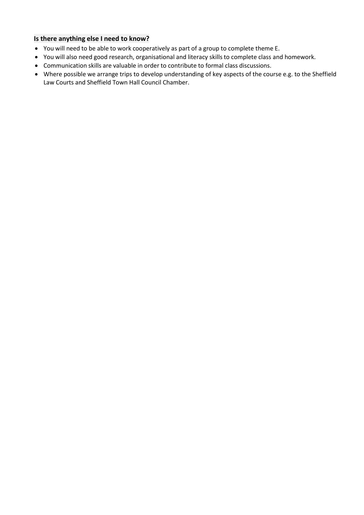### **Is there anything else I need to know?**

- You will need to be able to work cooperatively as part of a group to complete theme E.
- You will also need good research, organisational and literacy skills to complete class and homework.
- Communication skills are valuable in order to contribute to formal class discussions.
- Where possible we arrange trips to develop understanding of key aspects of the course e.g. to the Sheffield Law Courts and Sheffield Town Hall Council Chamber.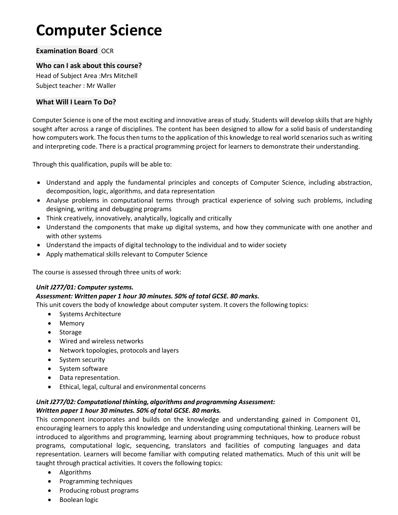# **Computer Science**

### **Examination Board** OCR

### **Who can I ask about this course?**

Head of Subject Area :Mrs Mitchell Subject teacher : Mr Waller

### **What Will I Learn To Do?**

Computer Science is one of the most exciting and innovative areas of study. Students will develop skills that are highly sought after across a range of disciplines. The content has been designed to allow for a solid basis of understanding how computers work. The focus then turns to the application of this knowledge to real world scenarios such as writing and interpreting code. There is a practical programming project for learners to demonstrate their understanding.

Through this qualification, pupils will be able to:

- Understand and apply the fundamental principles and concepts of Computer Science, including abstraction, decomposition, logic, algorithms, and data representation
- Analyse problems in computational terms through practical experience of solving such problems, including designing, writing and debugging programs
- Think creatively, innovatively, analytically, logically and critically
- Understand the components that make up digital systems, and how they communicate with one another and with other systems
- Understand the impacts of digital technology to the individual and to wider society
- Apply mathematical skills relevant to Computer Science

The course is assessed through three units of work:

### *Unit J277/01: Computer systems.*

### *Assessment: Written paper 1 hour 30 minutes. 50% of total GCSE. 80 marks.*

This unit covers the body of knowledge about computer system. It covers the following topics:

- Systems Architecture
- Memory
- Storage
- Wired and wireless networks
- Network topologies, protocols and layers
- System security
- System software
- Data representation.
- Ethical, legal, cultural and environmental concerns

### *Unit J277/02: Computational thinking, algorithms and programming Assessment:*

### *Written paper 1 hour 30 minutes. 50% of total GCSE. 80 marks.*

This component incorporates and builds on the knowledge and understanding gained in Component 01, encouraging learners to apply this knowledge and understanding using computational thinking. Learners will be introduced to algorithms and programming, learning about programming techniques, how to produce robust programs, computational logic, sequencing, translators and facilities of computing languages and data representation. Learners will become familiar with computing related mathematics. Much of this unit will be taught through practical activities. It covers the following topics:

- Algorithms
- Programming techniques
- Producing robust programs
- Boolean logic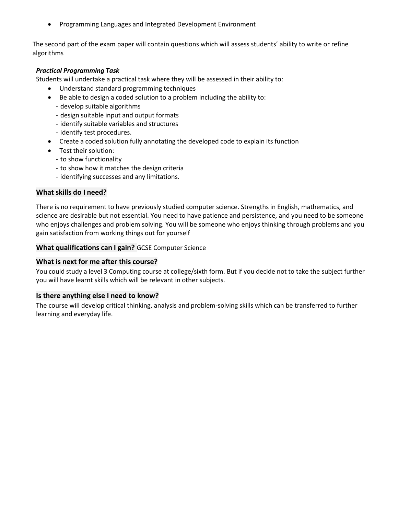• Programming Languages and Integrated Development Environment

The second part of the exam paper will contain questions which will assess students' ability to write or refine algorithms

### *Practical Programming Task*

Students will undertake a practical task where they will be assessed in their ability to:

- Understand standard programming techniques
- Be able to design a coded solution to a problem including the ability to:
	- develop suitable algorithms
	- design suitable input and output formats
	- identify suitable variables and structures
	- identify test procedures.
- Create a coded solution fully annotating the developed code to explain its function
- Test their solution:
	- to show functionality
	- to show how it matches the design criteria
	- identifying successes and any limitations.

### **What skills do I need?**

There is no requirement to have previously studied computer science. Strengths in English, mathematics, and science are desirable but not essential. You need to have patience and persistence, and you need to be someone who enjoys challenges and problem solving. You will be someone who enjoys thinking through problems and you gain satisfaction from working things out for yourself

**What qualifications can I gain?** GCSE Computer Science

### **What is next for me after this course?**

You could study a level 3 Computing course at college/sixth form. But if you decide not to take the subject further you will have learnt skills which will be relevant in other subjects.

### **Is there anything else I need to know?**

The course will develop critical thinking, analysis and problem-solving skills which can be transferred to further learning and everyday life.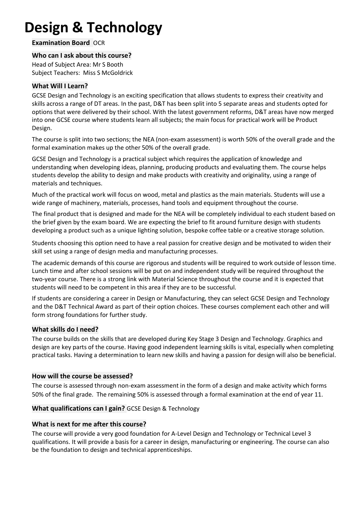# **Design & Technology**

**Examination Board** OCR

### **Who can I ask about this course?**

Head of Subject Area: Mr S Booth Subject Teachers: Miss S McGoldrick

### **What Will I Learn?**

GCSE Design and Technology is an exciting specification that allows students to express their creativity and skills across a range of DT areas. In the past, D&T has been split into 5 separate areas and students opted for options that were delivered by their school. With the latest government reforms, D&T areas have now merged into one GCSE course where students learn all subjects; the main focus for practical work will be Product Design.

The course is split into two sections; the NEA (non-exam assessment) is worth 50% of the overall grade and the formal examination makes up the other 50% of the overall grade.

GCSE Design and Technology is a practical subject which requires the application of knowledge and understanding when developing ideas, planning, producing products and evaluating them. The course helps students develop the ability to design and make products with creativity and originality, using a range of materials and techniques.

Much of the practical work will focus on wood, metal and plastics as the main materials. Students will use a wide range of machinery, materials, processes, hand tools and equipment throughout the course.

The final product that is designed and made for the NEA will be completely individual to each student based on the brief given by the exam board. We are expecting the brief to fit around furniture design with students developing a product such as a unique lighting solution, bespoke coffee table or a creative storage solution.

Students choosing this option need to have a real passion for creative design and be motivated to widen their skill set using a range of design media and manufacturing processes.

The academic demands of this course are rigorous and students will be required to work outside of lesson time. Lunch time and after school sessions will be put on and independent study will be required throughout the two-year course. There is a strong link with Material Science throughout the course and it is expected that students will need to be competent in this area if they are to be successful.

If students are considering a career in Design or Manufacturing, they can select GCSE Design and Technology and the D&T Technical Award as part of their option choices. These courses complement each other and will form strong foundations for further study.

### **What skills do I need?**

The course builds on the skills that are developed during Key Stage 3 Design and Technology. Graphics and design are key parts of the course. Having good independent learning skills is vital, especially when completing practical tasks. Having a determination to learn new skills and having a passion for design will also be beneficial.

### **How will the course be assessed?**

The course is assessed through non-exam assessment in the form of a design and make activity which forms 50% of the final grade. The remaining 50% is assessed through a formal examination at the end of year 11.

### **What qualifications can I gain?** GCSE Design & Technology

### **What is next for me after this course?**

The course will provide a very good foundation for A-Level Design and Technology or Technical Level 3 qualifications. It will provide a basis for a career in design, manufacturing or engineering. The course can also be the foundation to design and technical apprenticeships.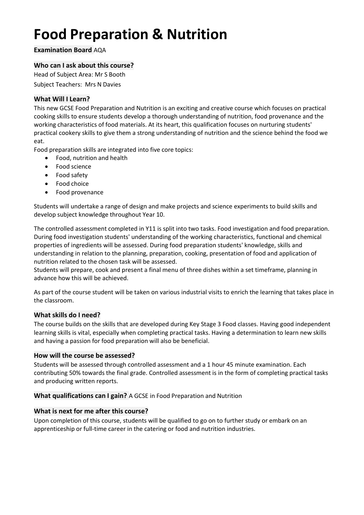# **Food Preparation & Nutrition**

**Examination Board** AQA

### **Who can I ask about this course?**

Head of Subject Area: Mr S Booth

Subject Teachers: Mrs N Davies

### **What Will I Learn?**

This new GCSE Food Preparation and Nutrition is an exciting and creative course which focuses on practical cooking skills to ensure students develop a thorough understanding of nutrition, food provenance and the working characteristics of food materials. At its heart, this qualification focuses on nurturing students' practical cookery skills to give them a strong understanding of nutrition and the science behind the food we eat.

Food preparation skills are integrated into five core topics:

- Food, nutrition and health
- Food science
- Food safety
- Food choice
- Food provenance

Students will undertake a range of design and make projects and science experiments to build skills and develop subject knowledge throughout Year 10.

The controlled assessment completed in Y11 is split into two tasks. Food investigation and food preparation. During food investigation students' understanding of the working characteristics, functional and chemical properties of ingredients will be assessed. During food preparation students' knowledge, skills and understanding in relation to the planning, preparation, cooking, presentation of food and application of nutrition related to the chosen task will be assessed.

Students will prepare, cook and present a final menu of three dishes within a set timeframe, planning in advance how this will be achieved.

As part of the course student will be taken on various industrial visits to enrich the learning that takes place in the classroom.

### **What skills do I need?**

The course builds on the skills that are developed during Key Stage 3 Food classes. Having good independent learning skills is vital, especially when completing practical tasks. Having a determination to learn new skills and having a passion for food preparation will also be beneficial.

### **How will the course be assessed?**

Students will be assessed through controlled assessment and a 1 hour 45 minute examination. Each contributing 50% towards the final grade. Controlled assessment is in the form of completing practical tasks and producing written reports.

**What qualifications can I gain?** A GCSE in Food Preparation and Nutrition

# **What is next for me after this course?**

Upon completion of this course, students will be qualified to go on to further study or embark on an apprenticeship or full-time career in the catering or food and nutrition industries.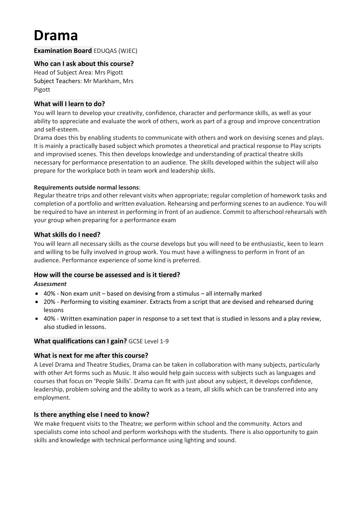# **Drama**

### **Examination Board** EDUQAS (WJEC)

# **Who can I ask about this course?**

Head of Subject Area: Mrs Pigott Subject Teachers: Mr Markham, Mrs Pigott

# **What will I learn to do?**

You will learn to develop your creativity, confidence, character and performance skills, as well as your ability to appreciate and evaluate the work of others, work as part of a group and improve concentration and self-esteem.

Drama does this by enabling students to communicate with others and work on devising scenes and plays. It is mainly a practically based subject which promotes a theoretical and practical response to Play scripts and improvised scenes. This then develops knowledge and understanding of practical theatre skills necessary for performance presentation to an audience. The skills developed within the subject will also prepare for the workplace both in team work and leadership skills.

### **Requirements outside normal lessons**:

Regular theatre trips and other relevant visits when appropriate; regular completion of homework tasks and completion of a portfolio and written evaluation. Rehearsing and performing scenes to an audience. You will be required to have an interest in performing in front of an audience. Commit to afterschool rehearsals with your group when preparing for a performance exam

### **What skills do I need?**

You will learn all necessary skills as the course develops but you will need to be enthusiastic, keen to learn and willing to be fully involved in group work. You must have a willingness to perform in front of an audience. Performance experience of some kind is preferred.

### **How will the course be assessed and is it tiered?**

### *Assessment*

- 40% Non exam unit based on devising from a stimulus all internally marked
- 20% Performing to visiting examiner. Extracts from a script that are devised and rehearsed during lessons
- 40% Written examination paper in response to a set text that is studied in lessons and a play review, also studied in lessons.

# **What qualifications can I gain?** GCSE Level 1-9

# **What is next for me after this course?**

A Level Drama and Theatre Studies, Drama can be taken in collaboration with many subjects, particularly with other Art forms such as Music. It also would help gain success with subjects such as languages and courses that focus on 'People Skills'. Drama can fit with just about any subject, it develops confidence, leadership, problem solving and the ability to work as a team, all skills which can be transferred into any employment.

# **Is there anything else I need to know?**

We make frequent visits to the Theatre; we perform within school and the community. Actors and specialists come into school and perform workshops with the students. There is also opportunity to gain skills and knowledge with technical performance using lighting and sound.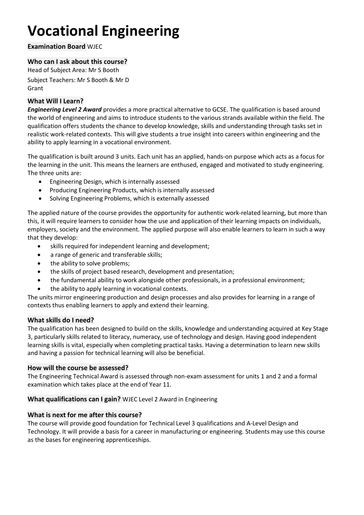# **Vocational Engineering**

**Examination Board** WJEC

### **Who can I ask about this course?**

Head of Subject Area: Mr S Booth Subject Teachers: Mr S Booth & Mr D Grant

# **What Will I Learn?**

*Engineering Level 2 Award* provides a more practical alternative to GCSE. The qualification is based around the world of engineering and aims to introduce students to the various strands available within the field. The qualification offers students the chance to develop knowledge, skills and understanding through tasks set in realistic work-related contexts. This will give students a true insight into careers within engineering and the ability to apply learning in a vocational environment.

The qualification is built around 3 units. Each unit has an applied, hands-on purpose which acts as a focus for the learning in the unit. This means the learners are enthused, engaged and motivated to study engineering. The three units are:

- Engineering Design, which is internally assessed
- Producing Engineering Products, which is internally assessed
- Solving Engineering Problems, which is externally assessed

The applied nature of the course provides the opportunity for authentic work-related learning, but more than this, it will require learners to consider how the use and application of their learning impacts on individuals, employers, society and the environment. The applied purpose will also enable learners to learn in such a way that they develop:

- skills required for independent learning and development;
- a range of generic and transferable skills;
- the ability to solve problems;
- the skills of project based research, development and presentation;
- the fundamental ability to work alongside other professionals, in a professional environment;
- the ability to apply learning in vocational contexts.

The units mirror engineering production and design processes and also provides for learning in a range of contexts thus enabling learners to apply and extend their learning.

### **What skills do I need?**

The qualification has been designed to build on the skills, knowledge and understanding acquired at Key Stage 3, particularly skills related to literacy, numeracy, use of technology and design. Having good independent learning skills is vital, especially when completing practical tasks. Having a determination to learn new skills and having a passion for technical learning will also be beneficial.

### **How will the course be assessed?**

The Engineering Technical Award is assessed through non-exam assessment for units 1 and 2 and a formal examination which takes place at the end of Year 11.

# **What qualifications can I gain?** WJEC Level 2 Award in Engineering

### **What is next for me after this course?**

The course will provide good foundation for Technical Level 3 qualifications and A-Level Design and Technology. It will provide a basis for a career in manufacturing or engineering. Students may use this course as the bases for engineering apprenticeships.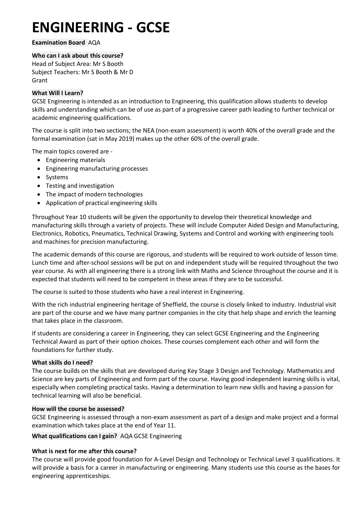# **ENGINEERING - GCSE**

**Examination Board** AQA

### **Who can I ask about this course?**

Head of Subject Area: Mr S Booth Subject Teachers: Mr S Booth & Mr D Grant

### **What Will I Learn?**

GCSE Engineering is intended as an introduction to Engineering, this qualification allows students to develop skills and understanding which can be of use as part of a progressive career path leading to further technical or academic engineering qualifications.

The course is split into two sections; the NEA (non-exam assessment) is worth 40% of the overall grade and the formal examination (sat in May 2019) makes up the other 60% of the overall grade.

The main topics covered are -

- Engineering materials
- Engineering manufacturing processes
- Systems
- Testing and investigation
- The impact of modern technologies
- Application of practical engineering skills

Throughout Year 10 students will be given the opportunity to develop their theoretical knowledge and manufacturing skills through a variety of projects. These will include Computer Aided Design and Manufacturing, Electronics, Robotics, Pneumatics, Technical Drawing, Systems and Control and working with engineering tools and machines for precision manufacturing.

The academic demands of this course are rigorous, and students will be required to work outside of lesson time. Lunch time and after-school sessions will be put on and independent study will be required throughout the two year course. As with all engineering there is a strong link with Maths and Science throughout the course and it is expected that students will need to be competent in these areas if they are to be successful.

The course is suited to those students who have a real interest in Engineering.

With the rich industrial engineering heritage of Sheffield, the course is closely linked to industry. Industrial visit are part of the course and we have many partner companies in the city that help shape and enrich the learning that takes place in the classroom.

If students are considering a career in Engineering, they can select GCSE Engineering and the Engineering Technical Award as part of their option choices. These courses complement each other and will form the foundations for further study.

### **What skills do I need?**

The course builds on the skills that are developed during Key Stage 3 Design and Technology. Mathematics and Science are key parts of Engineering and form part of the course. Having good independent learning skills is vital, especially when completing practical tasks. Having a determination to learn new skills and having a passion for technical learning will also be beneficial.

### **How will the course be assessed?**

GCSE Engineering is assessed through a non-exam assessment as part of a design and make project and a formal examination which takes place at the end of Year 11.

**What qualifications can I gain?** AQA GCSE Engineering

### **What is next for me after this course?**

The course will provide good foundation for A-Level Design and Technology or Technical Level 3 qualifications. It will provide a basis for a career in manufacturing or engineering. Many students use this course as the bases for engineering apprenticeships.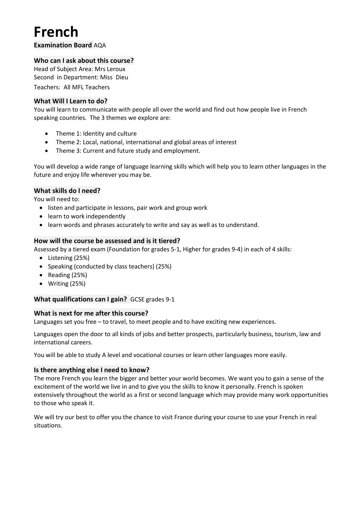# **French**

**Examination Board** AQA

### **Who can I ask about this course?**

Head of Subject Area: Mrs Leroux Second in Department: Miss Dieu Teachers: All MFL Teachers

### **What Will I Learn to do?**

You will learn to communicate with people all over the world and find out how people live in French speaking countries. The 3 themes we explore are:

- Theme 1: Identity and culture
- Theme 2: Local, national, international and global areas of interest
- Theme 3: Current and future study and employment.

You will develop a wide range of language learning skills which will help you to learn other languages in the future and enjoy life wherever you may be.

### **What skills do I need?**

You will need to:

- listen and participate in lessons, pair work and group work
- learn to work independently
- learn words and phrases accurately to write and say as well as to understand.

### **How will the course be assessed and is it tiered?**

Assessed by a tiered exam (Foundation for grades 5-1, Higher for grades 9-4) in each of 4 skills:

- Listening (25%)
- Speaking (conducted by class teachers) (25%)
- Reading (25%)
- Writing (25%)

### **What qualifications can I gain?** GCSE grades 9-1

### **What is next for me after this course?**

Languages set you free – to travel, to meet people and to have exciting new experiences.

Languages open the door to all kinds of jobs and better prospects, particularly business, tourism, law and international careers.

You will be able to study A level and vocational courses or learn other languages more easily.

### **Is there anything else I need to know?**

The more French you learn the bigger and better your world becomes. We want you to gain a sense of the excitement of the world we live in and to give you the skills to know it personally. French is spoken extensively throughout the world as a first or second language which may provide many work opportunities to those who speak it.

We will try our best to offer you the chance to visit France during your course to use your French in real situations.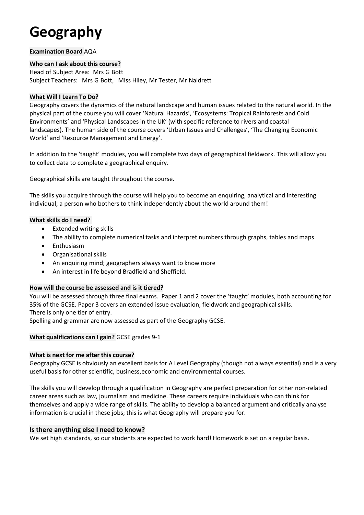# **Geography**

### **Examination Board** AQA

### **Who can I ask about this course?**

Head of Subject Area: Mrs G Bott Subject Teachers: Mrs G Bott, Miss Hiley, Mr Tester, Mr Naldrett

### **What Will I Learn To Do?**

Geography covers the dynamics of the natural landscape and human issues related to the natural world. In the physical part of the course you will cover 'Natural Hazards', 'Ecosystems: Tropical Rainforests and Cold Environments' and 'Physical Landscapes in the UK' (with specific reference to rivers and coastal landscapes). The human side of the course covers 'Urban Issues and Challenges', 'The Changing Economic World' and 'Resource Management and Energy'.

In addition to the 'taught' modules, you will complete two days of geographical fieldwork. This will allow you to collect data to complete a geographical enquiry.

Geographical skills are taught throughout the course.

The skills you acquire through the course will help you to become an enquiring, analytical and interesting individual; a person who bothers to think independently about the world around them!

### **What skills do I need?**

- Extended writing skills
- The ability to complete numerical tasks and interpret numbers through graphs, tables and maps
- Enthusiasm
- Organisationalskills
- An enquiring mind; geographers always want to know more
- An interest in life beyond Bradfield and Sheffield.

### **How will the course be assessed and is it tiered?**

You will be assessed through three final exams. Paper 1 and 2 cover the 'taught' modules, both accounting for 35% of the GCSE. Paper 3 covers an extended issue evaluation, fieldwork and geographical skills. There is only one tier of entry.

Spelling and grammar are now assessed as part of the Geography GCSE.

### **What qualifications can I gain?** GCSE grades 9-1

### **What is next for me after this course?**

Geography GCSE is obviously an excellent basis for A Level Geography (though not always essential) and is a very useful basis for other scientific, business, economic and environmental courses.

The skills you will develop through a qualification in Geography are perfect preparation for other non-related career areas such as law, journalism and medicine. These careers require individuals who can think for themselves and apply a wide range of skills. The ability to develop a balanced argument and critically analyse information is crucial in these jobs; this is what Geography will prepare you for.

### **Is there anything else I need to know?**

We set high standards, so our students are expected to work hard! Homework is set on a regular basis.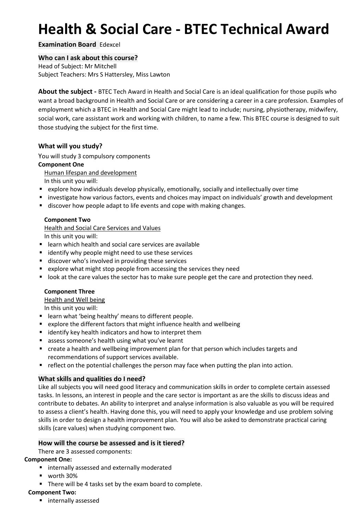# **Health & Social Care - BTEC Technical Award**

### **Examination Board** Edexcel

### **Who can I ask about this course?**

Head of Subject: Mr Mitchell Subject Teachers: Mrs S Hattersley, Miss Lawton

**About the subject -** BTEC Tech Award in Health and Social Care is an ideal qualification for those pupils who want a broad background in Health and Social Care or are considering a career in a care profession. Examples of employment which a BTEC in Health and Social Care might lead to include; nursing, physiotherapy, midwifery, social work, care assistant work and working with children, to name a few. This BTEC course is designed to suit those studying the subject for the first time.

### **What will you study?**

You will study 3 compulsory components

### **Component One**

Human lifespan and development In this unit you will:

- explore how individuals develop physically, emotionally, socially and intellectually over time
- investigate how various factors, events and choices may impact on individuals' growth and development
- discover how people adapt to life events and cope with making changes.

### **Component Two**

Health and Social Care Services and Values In this unit you will:

- learn which health and social care services are available
- identify why people might need to use these services
- discover who's involved in providing these services
- explore what might stop people from accessing the services they need
- look at the care values the sector has to make sure people get the care and protection they need.

### **Component Three**

Health and Well being

In this unit you will:

- learn what 'being healthy' means to different people.
- explore the different factors that might influence health and wellbeing
- identify key health indicators and how to interpret them
- assess someone's health using what you've learnt
- create a health and wellbeing improvement plan for that person which includes targets and recommendations of support services available.
- reflect on the potential challenges the person may face when putting the plan into action.

### **What skills and qualities do I need?**

Like all subjects you will need good literacy and communication skills in order to complete certain assessed tasks. In lessons, an interest in people and the care sector is important as are the skills to discuss ideas and contribute to debates. An ability to interpret and analyse information is also valuable as you will be required to assess a client's health. Having done this, you will need to apply your knowledge and use problem solving skills in order to design a health improvement plan. You will also be asked to demonstrate practical caring skills (care values) when studying component two.

### **How will the course be assessed and is it tiered?**

There are 3 assessed components:

### **Component One:**

- internally assessed and externally moderated
- worth 30%
- There will be 4 tasks set by the exam board to complete.
- **Component Two:**
	- internally assessed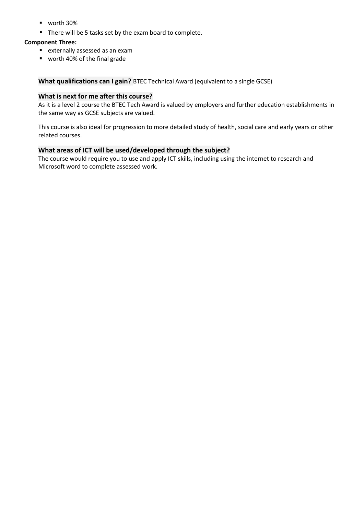- worth 30%
- There will be 5 tasks set by the exam board to complete.

### **Component Three:**

- externally assessed as an exam
- worth 40% of the final grade

### **What qualifications can I gain?** BTEC Technical Award (equivalent to a single GCSE)

### **What is next for me after this course?**

As it is a level 2 course the BTEC Tech Award is valued by employers and further education establishments in the same way as GCSE subjects are valued.

This course is also ideal for progression to more detailed study of health, social care and early years or other related courses.

### **What areas of ICT will be used/developed through the subject?**

The course would require you to use and apply ICT skills, including using the internet to research and Microsoft word to complete assessed work.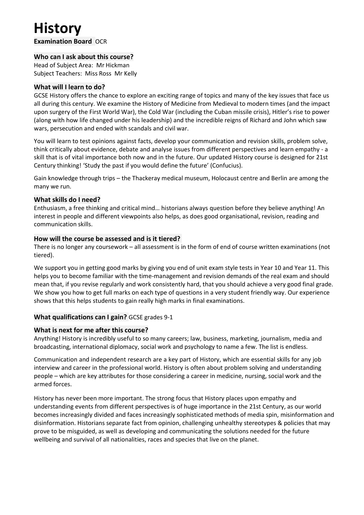# **History**

**Examination Board** OCR

### **Who can I ask about this course?**

Head of Subject Area: Mr Hickman Subject Teachers: Miss Ross Mr Kelly

### **What will I learn to do?**

GCSE History offers the chance to explore an exciting range of topics and many of the key issues that face us all during this century. We examine the History of Medicine from Medieval to modern times (and the impact upon surgery of the First World War), the Cold War (including the Cuban missile crisis), Hitler's rise to power (along with how life changed under his leadership) and the incredible reigns of Richard and John which saw wars, persecution and ended with scandals and civil war.

You will learn to test opinions against facts, develop your communication and revision skills, problem solve, think critically about evidence, debate and analyse issues from different perspectives and learn empathy - a skill that is of vital importance both now and in the future. Our updated History course is designed for 21st Century thinking! 'Study the past if you would define the future' (Confucius).

Gain knowledge through trips – the Thackeray medical museum, Holocaust centre and Berlin are among the many we run.

### **What skills do I need?**

Enthusiasm, a free thinking and critical mind… historians always question before they believe anything! An interest in people and different viewpoints also helps, as does good organisational, revision, reading and communication skills.

### **How will the course be assessed and is it tiered?**

There is no longer any coursework – all assessment is in the form of end of course written examinations (not tiered).

We support you in getting good marks by giving you end of unit exam style tests in Year 10 and Year 11. This helps you to become familiar with the time-management and revision demands of the real exam and should mean that, if you revise regularly and work consistently hard, that you should achieve a very good final grade. We show you how to get full marks on each type of questions in a very student friendly way. Our experience shows that this helps students to gain really high marks in final examinations.

### **What qualifications can I gain?** GCSE grades 9-1

### **What is next for me after this course?**

Anything! History is incredibly useful to so many careers; law, business, marketing, journalism, media and broadcasting, international diplomacy, social work and psychology to name a few. The list is endless.

Communication and independent research are a key part of History, which are essential skills for any job interview and career in the professional world. History is often about problem solving and understanding people – which are key attributes for those considering a career in medicine, nursing, social work and the armed forces.

History has never been more important. The strong focus that History places upon empathy and understanding events from different perspectives is of huge importance in the 21st Century, as our world becomes increasingly divided and faces increasingly sophisticated methods of media spin, misinformation and disinformation. Historians separate fact from opinion, challenging unhealthy stereotypes & policies that may prove to be misguided, as well as developing and communicating the solutions needed for the future wellbeing and survival of all nationalities, races and species that live on the planet.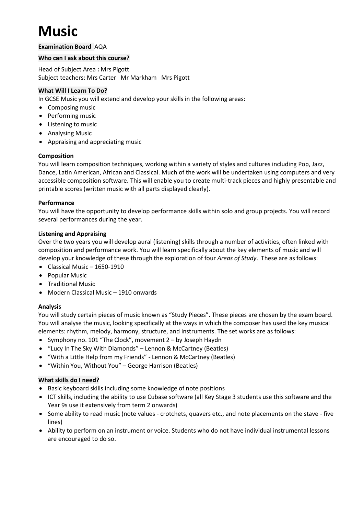# **Music**

**Examination Board** AQA

### **Who can I ask about this course?**

Head of Subject Area **:** Mrs Pigott Subject teachers: Mrs Carter Mr Markham Mrs Pigott

### **What Will I Learn To Do?**

In GCSE Music you will extend and develop your skills in the following areas:

- Composing music
- Performing music
- Listening to music
- Analysing Music
- Appraising and appreciating music

### **Composition**

You will learn composition techniques, working within a variety of styles and cultures including Pop, Jazz, Dance, Latin American, African and Classical. Much of the work will be undertaken using computers and very accessible composition software. This will enable you to create multi-track pieces and highly presentable and printable scores (written music with all parts displayed clearly).

### **Performance**

You will have the opportunity to develop performance skills within solo and group projects. You will record several performances during the year.

### **Listening and Appraising**

Over the two years you will develop aural (listening) skills through a number of activities, often linked with composition and performance work. You will learn specifically about the key elements of music and will develop your knowledge of these through the exploration of four *Areas of Study*. These are as follows:

- Classical Music 1650-1910
- Popular Music
- Traditional Music
- Modern Classical Music 1910 onwards

### **Analysis**

You will study certain pieces of music known as "Study Pieces". These pieces are chosen by the exam board. You will analyse the music, looking specifically at the ways in which the composer has used the key musical elements: rhythm, melody, harmony, structure, and instruments. The set works are as follows:

- Symphony no. 101 "The Clock", movement 2 by Joseph Haydn
- "Lucy In The Sky With Diamonds" Lennon & McCartney (Beatles)
- "With a Little Help from my Friends" Lennon & McCartney (Beatles)
- "Within You, Without You" George Harrison (Beatles)

### **What skills do I need?**

- Basic keyboard skills including some knowledge of note positions
- ICT skills, including the ability to use Cubase software (all Key Stage 3 students use this software and the Year 9s use it extensively from term 2 onwards)
- Some ability to read music (note values crotchets, quavers etc., and note placements on the stave five lines)
- Ability to perform on an instrument or voice. Students who do not have individual instrumental lessons are encouraged to do so.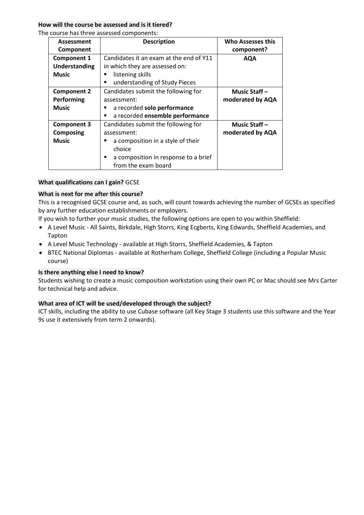### **How will the course be assessed and is it tiered?**

The course has three assessed components:

| Assessment<br>Component                                | <b>Description</b>                                                                                                                                                                      | Who Assesses this<br>component?     |
|--------------------------------------------------------|-----------------------------------------------------------------------------------------------------------------------------------------------------------------------------------------|-------------------------------------|
| <b>Component 1</b><br>Understanding<br><b>Music</b>    | Candidates it an exam at the end of Y11<br>in which they are assessed on:<br>listening skills<br>understanding of Study Pieces<br>٠                                                     | <b>AQA</b>                          |
| <b>Component 2</b><br>Performing<br><b>Music</b>       | Candidates submit the following for<br>assessment:<br>a recorded solo performance<br>a recorded ensemble performance<br>٠                                                               | Music Staff-<br>moderated by AQA    |
| <b>Component 3</b><br><b>Composing</b><br><b>Music</b> | Candidates submit the following for<br>assessment:<br>a composition in a style of their<br>■<br>choice<br>a composition in response to a brief<br>$\blacksquare$<br>from the exam board | Music Staff $-$<br>moderated by AQA |

### **What qualifications can I gain?** GCSE

### **What is next for me after this course?**

This is a recognised GCSE course and, as such, will count towards achieving the number of GCSEs as specified by any further education establishments or employers.

If you wish to further your music studies, the following options are open to you within Sheffield:

- A Level Music All Saints, Birkdale, High Storrs, King Ecgberts, King Edwards, Sheffield Academies, and Tapton
- A Level Music Technology available at High Storrs, Sheffield Academies, & Tapton
- BTEC National Diplomas available at Rotherham College, Sheffield College (including a Popular Music course)

### **Is there anything else I need to know?**

Students wishing to create a music composition workstation using their own PC or Mac should see Mrs Carter for technical help and advice.

### **What area of ICT will be used/developed through the subject?**

ICT skills, including the ability to use Cubase software (all Key Stage 3 students use this software and the Year 9s use it extensively from term 2 onwards).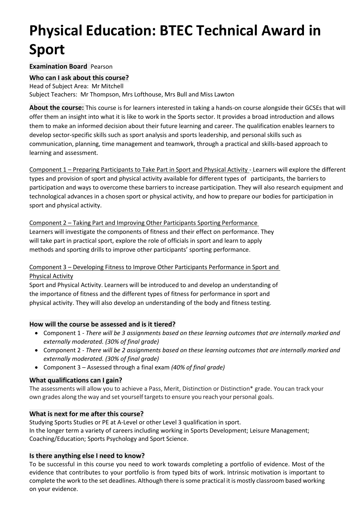# **Physical Education: BTEC Technical Award in Sport**

### **Examination Board** Pearson

**Who can I ask about this course?** Head of Subject Area: Mr Mitchell Subject Teachers: Mr Thompson, Mrs Lofthouse, Mrs Bull and Miss Lawton

**About the course:** This course is for learners interested in taking a hands-on course alongside their GCSEs that will offer them an insight into what it is like to work in the Sports sector. It provides a broad introduction and allows them to make an informed decision about their future learning and career. The qualification enables learners to develop sector-specific skills such as sport analysis and sports leadership, and personal skills such as communication, planning, time management and teamwork, through a practical and skills-based approach to learning and assessment.

Component 1 – Preparing Participants to Take Part in Sport and Physical Activity - Learners will explore the different types and provision of sport and physical activity available for different types of participants, the barriers to participation and ways to overcome these barriers to increase participation. They will also research equipment and technological advances in a chosen sport or physical activity, and how to prepare our bodies for participation in sport and physical activity.

Component 2 – Taking Part and Improving Other Participants Sporting Performance Learners will investigate the components of fitness and their effect on performance. They will take part in practical sport, explore the role of officials in sport and learn to apply methods and sporting drills to improve other participants' sporting performance.

# Component 3 – Developing Fitness to Improve Other Participants Performance in Sport and Physical Activity

Sport and Physical Activity. Learners will be introduced to and develop an understanding of the importance of fitness and the different types of fitness for performance in sport and physical activity. They will also develop an understanding of the body and fitness testing.

# **How will the course be assessed and is it tiered?**

- Component 1 *There will be 3 assignments based on these learning outcomes that are internally marked and externally moderated. (30% of final grade)*
- Component 2 *There will be 2 assignments based on these learning outcomes that are internally marked and externally moderated. (30% of final grade)*
- Component 3 Assessed through a final exam *(40% of final grade)*

# **What qualifications can I gain?**

The assessments will allow you to achieve a Pass, Merit, Distinction or Distinction\* grade. You can track your own grades along the way and set yourselftargetsto ensure you reach your personal goals.

# **What is next for me after this course?**

Studying Sports Studies or PE at A-Level or other Level 3 qualification in sport. In the longer term a variety of careers including working in Sports Development; Leisure Management; Coaching/Education; Sports Psychology and Sport Science.

# **Is there anything else I need to know?**

To be successful in this course you need to work towards completing a portfolio of evidence. Most of the evidence that contributes to your portfolio is from typed bits of work. Intrinsic motivation is important to complete the work to the set deadlines. Although there is some practical it is mostly classroom based working on your evidence.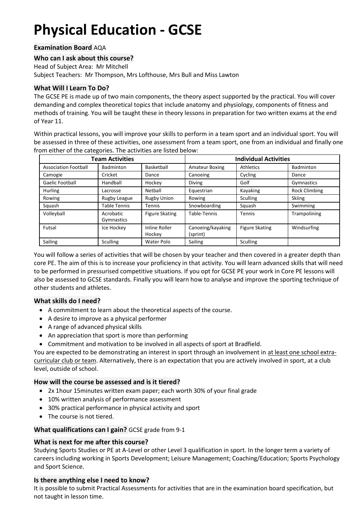# **Physical Education - GCSE**

# **Examination Board** AQA

### **Who can I ask about this course?**

Head of Subject Area: Mr Mitchell

Subject Teachers: Mr Thompson, Mrs Lofthouse, Mrs Bull and Miss Lawton

### **What Will I Learn To Do?**

The GCSE PE is made up of two main components, the theory aspect supported by the practical. You will cover demanding and complex theoretical topics that include anatomy and physiology, components of fitness and methods of training. You will be taught these in theory lessons in preparation for two written exams at the end of Year 11.

Within practical lessons, you will improve your skills to perform in a team sport and an individual sport. You will be assessed in three of these activities, one assessment from a team sport, one from an individual and finally one from either of the categories. The activities are listed below:

| <b>Team Activities</b>      |                         |                                | <b>Individual Activities</b>  |                       |                      |
|-----------------------------|-------------------------|--------------------------------|-------------------------------|-----------------------|----------------------|
| <b>Association Football</b> | Badminton               | Basketball                     | <b>Amateur Boxing</b>         | <b>Athletics</b>      | Badminton            |
| Camogie                     | Cricket                 | Dance                          | Canoeing                      | Cycling               | Dance                |
| <b>Gaelic Football</b>      | Handball                | Hockey                         | <b>Diving</b>                 | Golf                  | Gymnastics           |
| <b>Hurling</b>              | Lacrosse                | Netball                        | Equestrian                    | Kayaking              | <b>Rock Climbing</b> |
| Rowing                      | Rugby League            | <b>Rugby Union</b>             | Rowing                        | <b>Sculling</b>       | <b>Skiing</b>        |
| Squash                      | <b>Table Tennis</b>     | Tennis                         | Snowboarding                  | Squash                | Swimming             |
| Volleyball                  | Acrobatic<br>Gymnastics | <b>Figure Skating</b>          | Table-Tennis                  | Tennis                | Trampolining         |
| Futsal                      | Ice Hockey              | <b>Inline Roller</b><br>Hockey | Canoeing/kayaking<br>(sprint) | <b>Figure Skating</b> | Windsurfing          |
| Sailing                     | <b>Sculling</b>         | Water Polo                     | Sailing                       | Sculling              |                      |

You will follow a series of activities that will be chosen by your teacher and then covered in a greater depth than core PE. The aim of this is to increase your proficiency in that activity. You will learn advanced skills that will need to be performed in pressurised competitive situations. If you opt for GCSE PE your work in Core PE lessons will also be assessed to GCSE standards. Finally you will learn how to analyse and improve the sporting technique of other students and athletes.

### **What skills do I need?**

- A commitment to learn about the theoretical aspects of the course.
- A desire to improve as a physical performer
- A range of advanced physical skills
- An appreciation that sport is more than performing
- Commitment and motivation to be involved in all aspects of sport at Bradfield.

You are expected to be demonstrating an interest in sport through an involvement in at least one school extracurricular club or team. Alternatively, there is an expectation that you are actively involved in sport, at a club level, outside of school.

### **How will the course be assessed and is it tiered?**

- 2x 1hour 15minutes written exam paper; each worth 30% of your final grade
- 10% written analysis of performance assessment
- 30% practical performance in physical activity and sport
- The course is not tiered.

### **What qualifications can I gain?** GCSE grade from 9-1

# **What is next for me after this course?**

Studying Sports Studies or PE at A-Level or other Level 3 qualification in sport. In the longer term a variety of careers including working in Sports Development; Leisure Management; Coaching/Education; Sports Psychology and Sport Science.

### **Is there anything else I need to know?**

It is possible to submit Practical Assessments for activities that are in the examination board specification, but not taught in lesson time.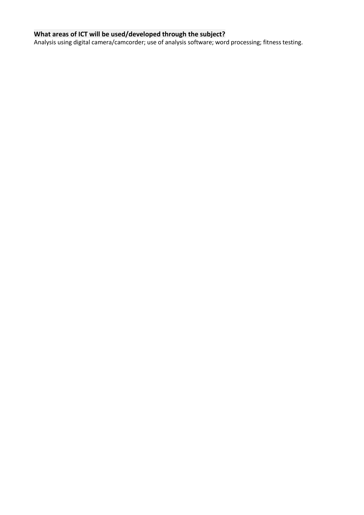# **What areas of ICT will be used/developed through the subject?**

Analysis using digital camera/camcorder; use of analysis software; word processing; fitness testing.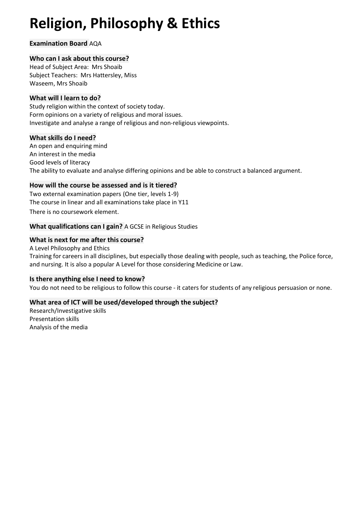# **Religion, Philosophy & Ethics**

# **Examination Board** AQA

### **Who can I ask about this course?**

Head of Subject Area: Mrs Shoaib Subject Teachers: Mrs Hattersley, Miss Waseem, Mrs Shoaib

### **What will I learn to do?**

Study religion within the context of society today. Form opinions on a variety of religious and moral issues. Investigate and analyse a range of religious and non-religious viewpoints.

### **What skills do I need?**

An open and enquiring mind An interest in the media Good levels of literacy The ability to evaluate and analyse differing opinions and be able to construct a balanced argument.

### **How will the course be assessed and is it tiered?**

Two external examination papers (One tier, levels 1-9) The course in linear and all examinations take place in Y11

There is no coursework element.

### **What qualifications can I gain?** A GCSE in Religious Studies

### **What is next for me after this course?**

A Level Philosophy and Ethics Training for careers in all disciplines, but especially those dealing with people, such as teaching, the Police force, and nursing. It is also a popular A Level for those considering Medicine or Law.

### **Is there anything else I need to know?**

You do not need to be religious to follow this course - it caters for students of any religious persuasion or none.

# **What area of ICT will be used/developed through the subject?**

Research/Investigative skills Presentation skills Analysis of the media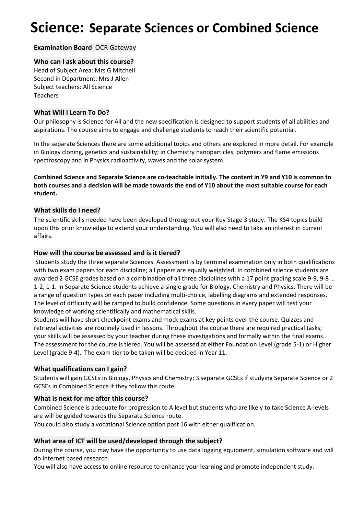# **Science: Separate Sciences or Combined Science**

### **Examination Board** OCR Gateway

### **Who can I ask about this course?**

Head of Subject Area: Mrs G Mitchell Second in Department: Mrs J Allen Subject teachers: All Science Teachers

### **What Will I Learn To Do?**

Our philosophy is Science for All and the new specification is designed to support students of all abilities and aspirations. The course aims to engage and challenge students to reach their scientific potential.

In the separate Sciences there are some additional topics and others are explored in more detail. For example in Biology cloning, genetics and sustainability; in Chemistry nanoparticles, polymers and flame emissions spectroscopy and in Physics radioactivity, waves and the solar system.

**Combined Science and Separate Science are co-teachable initially. The content in Y9 and Y10 is common to both courses and a decision will be made towards the end of Y10 about the most suitable course for each student.**

### **What skills do I need?**

The scientific skills needed have been developed throughout your Key Stage 3 study. The KS4 topics build upon this prior knowledge to extend your understanding. You will also need to take an interest in current affairs.

### **How will the course be assessed and is it tiered?**

Students study the three separate Sciences. Assessment is by terminal examination only in both qualifications with two exam papers for each discipline; all papers are equally weighted. In combined science students are awarded 2 GCSE grades based on a combination of all three disciplines with a 17 point grading scale 9-9, 9-8 … 1-2, 1-1. In Separate Science students achieve a single grade for Biology, Chemistry and Physics. There will be a range of question types on each paper including multi-choice, labelling diagrams and extended responses. The level of difficulty will be ramped to build confidence. Some questions in every paper will test your knowledge of working scientifically and mathematical skills.

Students will have short checkpoint exams and mock exams at key points over the course. Quizzes and retrieval activities are routinely used in lessons. Throughout the course there are required practical tasks; your skills will be assessed by your teacher during these investigations and formally within the final exams. The assessment for the course is tiered. You will be assessed at either Foundation Level (grade 5-1) or Higher Level (grade 9-4). The exam tier to be taken will be decided in Year 11.

### **What qualifications can I gain?**

Students will gain GCSEs in Biology, Physics and Chemistry; 3 separate GCSEs if studying Separate Science or 2 GCSEs in Combined Science if they follow this route.

### **What is next for me after this course?**

Combined Science is adequate for progression to A level but students who are likely to take Science A-levels are will be guided towards the Separate Science route.

You could also study a vocational Science option post 16 with either qualification.

### **What area of ICT will be used/developed through the subject?**

During the course, you may have the opportunity to use data logging equipment, simulation software and will do internet based research.

You will also have access to online resource to enhance your learning and promote independent study.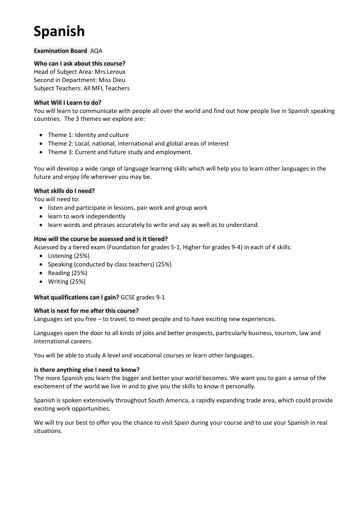# **Spanish**

### **Examination Board** AQA

**Who can I ask about this course?** Head of Subject Area: Mrs Leroux Second in Department: Miss Dieu Subject Teachers: All MFL Teachers

### **What Will I Learn to do?**

You will learn to communicate with people all over the world and find out how people live in Spanish speaking countries. The 3 themes we explore are:

- Theme 1: Identity and culture
- Theme 2: Local, national, international and global areas of interest
- Theme 3: Current and future study and employment.

You will develop a wide range of language learning skills which will help you to learn other languages in the future and enjoy life wherever you may be.

### **What skills do I need?**

You will need to:

- listen and participate in lessons, pair work and group work
- learn to work independently
- learn words and phrases accurately to write and say as well as to understand.

### **How will the course be assessed and is it tiered?**

Assessed by a tiered exam (Foundation for grades 5-1, Higher for grades 9-4) in each of 4 skills:

- Listening (25%)
- Speaking (conducted by class teachers) (25%)
- Reading (25%)
- Writing (25%)

### **What qualifications can I gain?** GCSE grades 9-1

### **What is next for me after this course?**

Languages set you free – to travel, to meet people and to have exciting new experiences.

Languages open the door to all kinds of jobs and better prospects, particularly business, tourism, law and international careers.

You will be able to study A level and vocational courses or learn other languages.

### **Is there anything else I need to know?**

The more Spanish you learn the bigger and better your world becomes. We want you to gain a sense of the excitement of the world we live in and to give you the skills to know it personally.

Spanish is spoken extensively throughout South America, a rapidly expanding trade area, which could provide exciting work opportunities.

We will try our best to offer you the chance to visit Spain during your course and to use your Spanish in real situations.